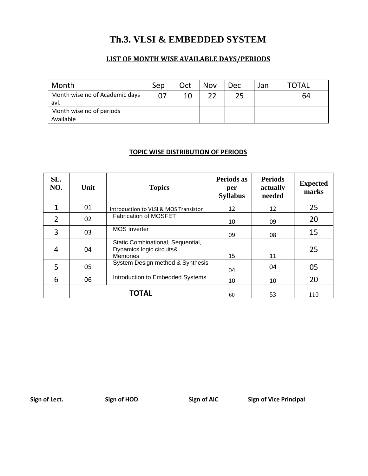## **Th.3. VLSI & EMBEDDED SYSTEM**

#### **LIST OF MONTH WISE AVAILABLE DAYS/PERIODS**

| Month                                  | Sep            | Oct | Nov | <b>Dec</b> | Jan | TOTAL |
|----------------------------------------|----------------|-----|-----|------------|-----|-------|
| Month wise no of Academic days<br>avl. | 0 <sup>7</sup> |     |     |            |     | 64    |
| Month wise no of periods<br>Available  |                |     |     |            |     |       |

#### **TOPIC WISE DISTRIBUTION OF PERIODS**

| SL.<br>NO.     | Unit | <b>Topics</b>                                                                    | Periods as<br>per<br><b>Syllabus</b> | <b>Periods</b><br>actually<br>needed | <b>Expected</b><br>marks |
|----------------|------|----------------------------------------------------------------------------------|--------------------------------------|--------------------------------------|--------------------------|
| 1              | 01   | Introduction to VLSI & MOS Transistor                                            | 12                                   | 12                                   | 25                       |
| $\overline{2}$ | 02   | Fabrication of MOSFET                                                            | 10                                   | 09                                   | 20                       |
| 3              | 03   | <b>MOS</b> Inverter                                                              | 09                                   | 08                                   | 15                       |
| 4              | 04   | Static Combinational, Sequential,<br>Dynamics logic circuits&<br><b>Memories</b> | 15                                   | 11                                   | 25                       |
| 5              | 05   | System Design method & Synthesis                                                 | 04                                   | 04                                   | 05                       |
| 6              | 06   | Introduction to Embedded Systems                                                 | 10                                   | 10                                   | 20                       |
|                |      | <b>TOTAL</b>                                                                     | 60                                   | 53                                   | 110                      |

Sign of Lect. Sign of HOD Sign of AIC Sign of Vice Principal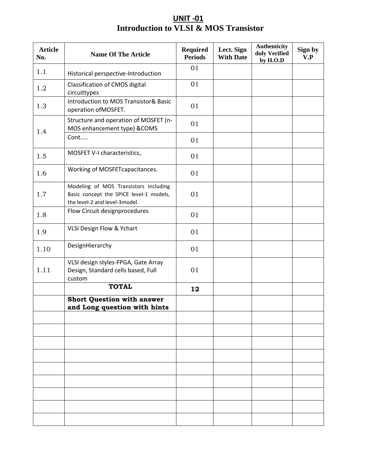### **UNIT -01 Introduction to VLSI & MOS Transistor**

| <b>Article</b><br>No. | <b>Name Of The Article</b>                                                                                        | <b>Required</b><br><b>Periods</b> | Lect. Sign<br><b>With Date</b> | <b>Authenticity</b><br>duly Verified<br>by H.O.D | Sign by<br>V.P |
|-----------------------|-------------------------------------------------------------------------------------------------------------------|-----------------------------------|--------------------------------|--------------------------------------------------|----------------|
| 1.1                   | Historical perspective-Introduction                                                                               | 01                                |                                |                                                  |                |
| 1.2                   | Classification of CMOS digital<br>circuittypes                                                                    | 01                                |                                |                                                  |                |
| 1.3                   | Introduction to MOS Transistor& Basic<br>operation of MOSFET.                                                     | 01                                |                                |                                                  |                |
| 1.4                   | Structure and operation of MOSFET (n-<br>MOS enhancement type) &COMS                                              | 01                                |                                |                                                  |                |
|                       | Cont                                                                                                              | 01                                |                                |                                                  |                |
| 1.5                   | MOSFET V-I characteristics,                                                                                       | 01                                |                                |                                                  |                |
| 1.6                   | Working of MOSFET capacitances.                                                                                   | 01                                |                                |                                                  |                |
| 1.7                   | Modeling of MOS Transistors including<br>Basic concept the SPICE level-1 models,<br>the level-2 and level-3model. | 01                                |                                |                                                  |                |
| 1.8                   | Flow Circuit designprocedures                                                                                     | 01                                |                                |                                                  |                |
| 1.9                   | VLSI Design Flow & Ychart                                                                                         | 01                                |                                |                                                  |                |
| 1.10                  | DesignHierarchy                                                                                                   | 01                                |                                |                                                  |                |
| 1.11                  | VLSI design styles-FPGA, Gate Array<br>Design, Standard cells based, Full<br>custom                               | 01                                |                                |                                                  |                |
|                       | <b>TOTAL</b>                                                                                                      | 12                                |                                |                                                  |                |
|                       | <b>Short Question with answer</b><br>and Long question with hints                                                 |                                   |                                |                                                  |                |
|                       |                                                                                                                   |                                   |                                |                                                  |                |
|                       |                                                                                                                   |                                   |                                |                                                  |                |
|                       |                                                                                                                   |                                   |                                |                                                  |                |
|                       |                                                                                                                   |                                   |                                |                                                  |                |
|                       |                                                                                                                   |                                   |                                |                                                  |                |
|                       |                                                                                                                   |                                   |                                |                                                  |                |
|                       |                                                                                                                   |                                   |                                |                                                  |                |
|                       |                                                                                                                   |                                   |                                |                                                  |                |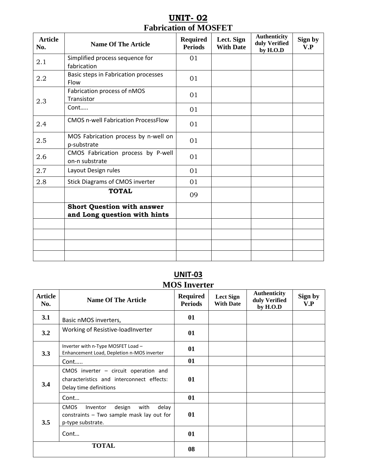### **UNIT- 02 Fabrication of MOSFET**

| <b>Article</b><br>No. | <b>Name Of The Article</b>                                        | <b>Required</b><br><b>Periods</b> | Lect. Sign<br><b>With Date</b> | Authenticity<br>duly Verified<br>by H.O.D | Sign by<br>V.P |
|-----------------------|-------------------------------------------------------------------|-----------------------------------|--------------------------------|-------------------------------------------|----------------|
| 2.1                   | Simplified process sequence for<br>fabrication                    | 01                                |                                |                                           |                |
| 2.2                   | Basic steps in Fabrication processes<br>Flow                      | 01                                |                                |                                           |                |
| 2.3                   | Fabrication process of nMOS<br>Transistor                         | 01                                |                                |                                           |                |
|                       | Cont                                                              | 01                                |                                |                                           |                |
| 2.4                   | <b>CMOS n-well Fabrication ProcessFlow</b>                        | 01                                |                                |                                           |                |
| 2.5                   | MOS Fabrication process by n-well on<br>p-substrate               | 01                                |                                |                                           |                |
| 2.6                   | CMOS Fabrication process by P-well<br>on-n substrate              | 01                                |                                |                                           |                |
| 2.7                   | Layout Design rules                                               | 01                                |                                |                                           |                |
| 2.8                   | <b>Stick Diagrams of CMOS inverter</b>                            | 01                                |                                |                                           |                |
|                       | <b>TOTAL</b>                                                      | 09                                |                                |                                           |                |
|                       | <b>Short Question with answer</b><br>and Long question with hints |                                   |                                |                                           |                |
|                       |                                                                   |                                   |                                |                                           |                |
|                       |                                                                   |                                   |                                |                                           |                |
|                       |                                                                   |                                   |                                |                                           |                |
|                       |                                                                   |                                   |                                |                                           |                |

### **UNIT-03 MOS Inverter**

| <b>Article</b><br>No. | <b>Name Of The Article</b>                                                                                           | <b>Required</b><br><b>Periods</b> | <b>Lect Sign</b><br><b>With Date</b> | <b>Authenticity</b><br>duly Verified<br>by H.O.D | Sign by<br>V.P |
|-----------------------|----------------------------------------------------------------------------------------------------------------------|-----------------------------------|--------------------------------------|--------------------------------------------------|----------------|
| 3.1                   | Basic nMOS inverters,                                                                                                | 01                                |                                      |                                                  |                |
| 3.2                   | Working of Resistive-loadInverter                                                                                    | 01                                |                                      |                                                  |                |
| 3.3                   | Inverter with n-Type MOSFET Load -<br>Enhancement Load, Depletion n-MOS inverter                                     | 01                                |                                      |                                                  |                |
|                       | Cont                                                                                                                 | 01                                |                                      |                                                  |                |
| 3.4                   | CMOS inverter $-$ circuit operation and<br>characteristics and interconnect effects:<br>Delay time definitions       | 01                                |                                      |                                                  |                |
|                       | Cont                                                                                                                 | 01                                |                                      |                                                  |                |
| 3.5                   | <b>CMOS</b><br>design<br>with<br>delay<br>Inventor<br>constraints - Two sample mask lay out for<br>p-type substrate. | 01                                |                                      |                                                  |                |
|                       | Cont                                                                                                                 | 01                                |                                      |                                                  |                |
|                       | <b>TOTAL</b>                                                                                                         | 08                                |                                      |                                                  |                |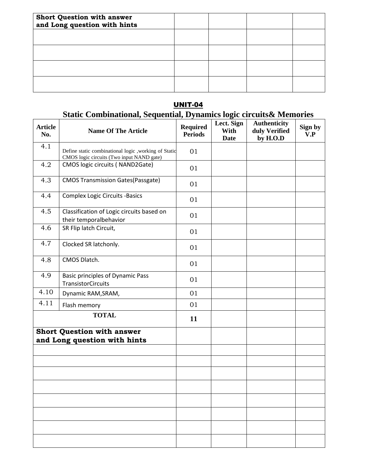| <b>Short Question with answer</b><br>and Long question with hints |  |  |
|-------------------------------------------------------------------|--|--|
|                                                                   |  |  |
|                                                                   |  |  |
|                                                                   |  |  |
|                                                                   |  |  |

#### UNIT-04

#### **Static Combinational, Sequential, Dynamics logic circuits& Memories**

| <b>Article</b><br>No. | <b>Name Of The Article</b>                                                                         | <b>Required</b><br><b>Periods</b> | Lect. Sign<br>With<br>Date | <b>Authenticity</b><br>duly Verified<br>by H.O.D | Sign by<br>V.P |
|-----------------------|----------------------------------------------------------------------------------------------------|-----------------------------------|----------------------------|--------------------------------------------------|----------------|
| 4.1                   | Define static combinational logic , working of Static<br>CMOS logic circuits (Two input NAND gate) | 01                                |                            |                                                  |                |
| 4.2                   | CMOS logic circuits (NAND2Gate)                                                                    | 01                                |                            |                                                  |                |
| 4.3                   | <b>CMOS Transmission Gates (Passgate)</b>                                                          | 01                                |                            |                                                  |                |
| 4.4                   | <b>Complex Logic Circuits -Basics</b>                                                              | 01                                |                            |                                                  |                |
| 4.5                   | Classification of Logic circuits based on<br>their temporalbehavior                                | 01                                |                            |                                                  |                |
| 4.6                   | SR Flip latch Circuit,                                                                             | 01                                |                            |                                                  |                |
| 4.7                   | Clocked SR latchonly.                                                                              | 01                                |                            |                                                  |                |
| 4.8                   | CMOS Dlatch.                                                                                       | 01                                |                            |                                                  |                |
| 4.9                   | <b>Basic principles of Dynamic Pass</b><br><b>TransistorCircuits</b>                               | 01                                |                            |                                                  |                |
| 4.10                  | Dynamic RAM, SRAM,                                                                                 | 01                                |                            |                                                  |                |
| 4.11                  | Flash memory                                                                                       | 01                                |                            |                                                  |                |
|                       | <b>TOTAL</b>                                                                                       | 11                                |                            |                                                  |                |
|                       | <b>Short Question with answer</b><br>and Long question with hints                                  |                                   |                            |                                                  |                |
|                       |                                                                                                    |                                   |                            |                                                  |                |
|                       |                                                                                                    |                                   |                            |                                                  |                |
|                       |                                                                                                    |                                   |                            |                                                  |                |
|                       |                                                                                                    |                                   |                            |                                                  |                |
|                       |                                                                                                    |                                   |                            |                                                  |                |
|                       |                                                                                                    |                                   |                            |                                                  |                |
|                       |                                                                                                    |                                   |                            |                                                  |                |
|                       |                                                                                                    |                                   |                            |                                                  |                |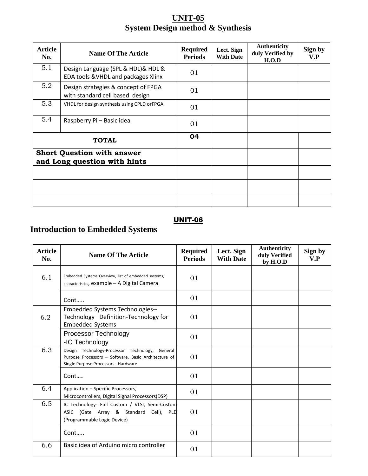### **UNIT-05 System Design method & Synthesis**

| Article<br>No. | <b>Name Of The Article</b>                                                | <b>Required</b><br><b>Periods</b> | Lect. Sign<br><b>With Date</b> | <b>Authenticity</b><br>duly Verified by<br>H.O.D | Sign by<br>V.P |
|----------------|---------------------------------------------------------------------------|-----------------------------------|--------------------------------|--------------------------------------------------|----------------|
| 5.1            | Design Language (SPL & HDL)& HDL &<br>EDA tools & VHDL and packages Xlinx | 01                                |                                |                                                  |                |
| 5.2            | Design strategies & concept of FPGA<br>with standard cell based design    | 01                                |                                |                                                  |                |
| 5.3            | VHDL for design synthesis using CPLD orFPGA                               | 01                                |                                |                                                  |                |
| 5.4            | Raspberry Pi - Basic idea                                                 | 01                                |                                |                                                  |                |
|                | <b>TOTAL</b>                                                              | 04                                |                                |                                                  |                |
|                | <b>Short Question with answer</b><br>and Long question with hints         |                                   |                                |                                                  |                |
|                |                                                                           |                                   |                                |                                                  |                |
|                |                                                                           |                                   |                                |                                                  |                |
|                |                                                                           |                                   |                                |                                                  |                |

### UNIT-06

# **Introduction to Embedded Systems**

| <b>Article</b><br>No. | <b>Name Of The Article</b>                                                                                                                    | <b>Required</b><br><b>Periods</b> | Lect. Sign<br><b>With Date</b> | <b>Authenticity</b><br>duly Verified<br>by H.O.D | Sign by<br>V.P |
|-----------------------|-----------------------------------------------------------------------------------------------------------------------------------------------|-----------------------------------|--------------------------------|--------------------------------------------------|----------------|
| 6.1                   | Embedded Systems Overview, list of embedded systems,<br>characteristics, example - A Digital Camera                                           | 01                                |                                |                                                  |                |
|                       | Cont                                                                                                                                          | 01                                |                                |                                                  |                |
| 6.2                   | <b>Embedded Systems Technologies--</b><br>Technology-Definition-Technology for<br><b>Embedded Systems</b>                                     | 01                                |                                |                                                  |                |
|                       | Processor Technology<br>-IC Technology                                                                                                        | 01                                |                                |                                                  |                |
| 6.3                   | Design Technology-Processor Technology, General<br>Purpose Processors - Software, Basic Architecture of<br>Single Purpose Processors-Hardware | 01                                |                                |                                                  |                |
|                       | Cont                                                                                                                                          | 01                                |                                |                                                  |                |
| 6.4                   | Application - Specific Processors,<br>Microcontrollers, Digital Signal Processors(DSP)                                                        | 01                                |                                |                                                  |                |
| 6.5                   | IC Technology- Full Custom / VLSI, Semi-Custom<br>ASIC (Gate Array & Standard Cell), PLD<br>(Programmable Logic Device)                       | 01                                |                                |                                                  |                |
|                       | Cont                                                                                                                                          | 01                                |                                |                                                  |                |
| 6.6                   | Basic idea of Arduino micro controller                                                                                                        | 01                                |                                |                                                  |                |